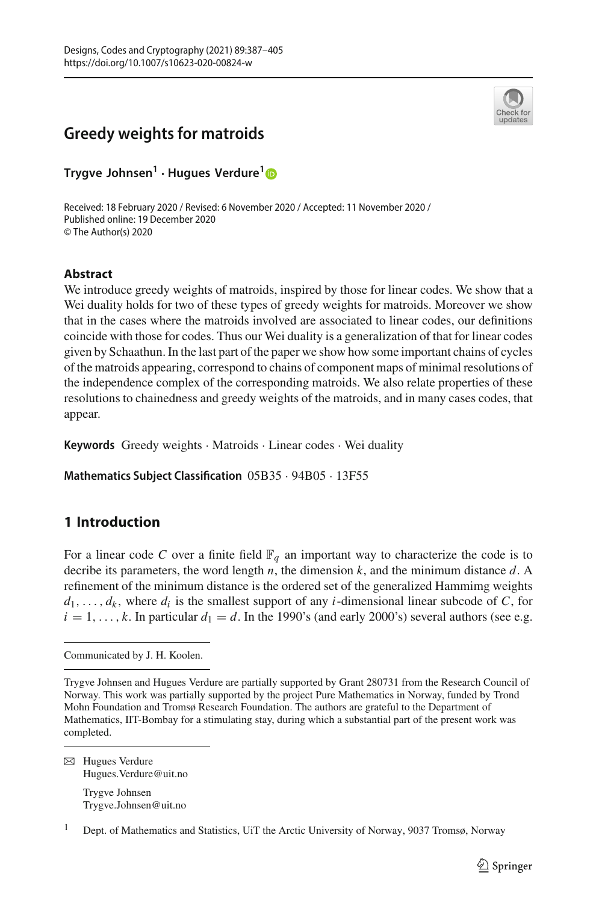# **Greedy weights for matroids**



**Trygve Johnsen<sup>1</sup> · Hugues Verdure[1](http://orcid.org/0000-0002-8422-644X)**

Received: 18 February 2020 / Revised: 6 November 2020 / Accepted: 11 November 2020 / Published online: 19 December 2020 © The Author(s) 2020

## **Abstract**

We introduce greedy weights of matroids, inspired by those for linear codes. We show that a Wei duality holds for two of these types of greedy weights for matroids. Moreover we show that in the cases where the matroids involved are associated to linear codes, our definitions coincide with those for codes. Thus our Wei duality is a generalization of that for linear codes given by Schaathun. In the last part of the paper we show how some important chains of cycles of the matroids appearing, correspond to chains of component maps of minimal resolutions of the independence complex of the corresponding matroids. We also relate properties of these resolutions to chainedness and greedy weights of the matroids, and in many cases codes, that appear.

**Keywords** Greedy weights · Matroids · Linear codes · Wei duality

**Mathematics Subject Classification** 05B35 · 94B05 · 13F55

## **1 Introduction**

For a linear code C over a finite field  $\mathbb{F}_q$  an important way to characterize the code is to decribe its parameters, the word length *n*, the dimension *k*, and the minimum distance *d*. A refinement of the minimum distance is the ordered set of the generalized Hammimg weights  $d_1, \ldots, d_k$ , where  $d_i$  is the smallest support of any *i*-dimensional linear subcode of *C*, for  $i = 1, \ldots, k$ . In particular  $d_1 = d$ . In the 1990's (and early 2000's) several authors (see e.g.

 $\boxtimes$  Hugues Verdure Hugues.Verdure@uit.no Trygve Johnsen Trygve.Johnsen@uit.no

Communicated by J. H. Koolen.

Trygve Johnsen and Hugues Verdure are partially supported by Grant 280731 from the Research Council of Norway. This work was partially supported by the project Pure Mathematics in Norway, funded by Trond Mohn Foundation and Tromsø Research Foundation. The authors are grateful to the Department of Mathematics, IIT-Bombay for a stimulating stay, during which a substantial part of the present work was completed.

<sup>1</sup> Dept. of Mathematics and Statistics, UiT the Arctic University of Norway, 9037 Tromsø, Norway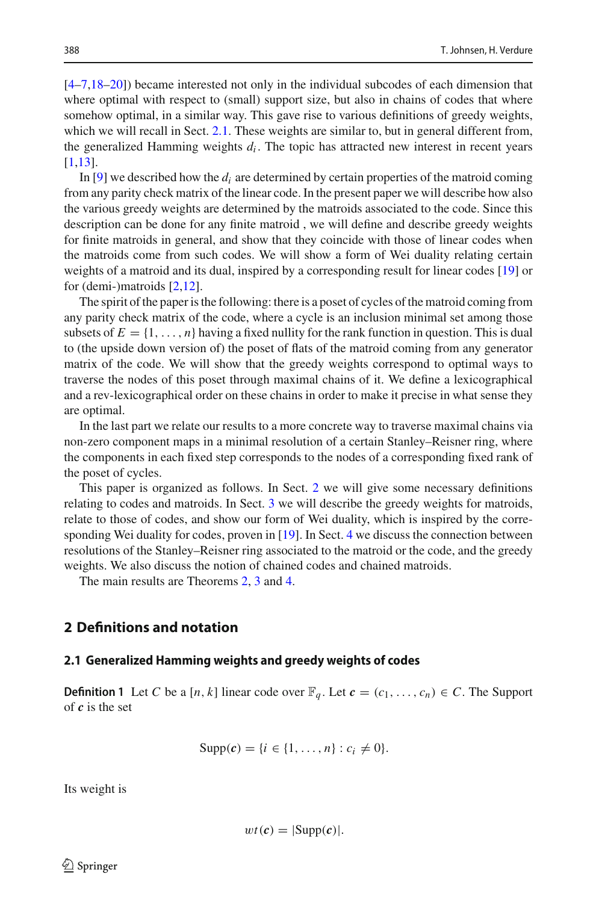[\[4](#page-17-0)[–7](#page-17-1)[,18](#page-18-0)[–20\]](#page-18-1)) became interested not only in the individual subcodes of each dimension that where optimal with respect to (small) support size, but also in chains of codes that where somehow optimal, in a similar way. This gave rise to various definitions of greedy weights, which we will recall in Sect. [2.1.](#page-1-0) These weights are similar to, but in general different from, the generalized Hamming weights  $d_i$ . The topic has attracted new interest in recent years [\[1](#page-17-2)[,13\]](#page-17-3).

In  $[9]$  $[9]$  we described how the  $d_i$  are determined by certain properties of the matroid coming from any parity check matrix of the linear code. In the present paper we will describe how also the various greedy weights are determined by the matroids associated to the code. Since this description can be done for any finite matroid , we will define and describe greedy weights for finite matroids in general, and show that they coincide with those of linear codes when the matroids come from such codes. We will show a form of Wei duality relating certain weights of a matroid and its dual, inspired by a corresponding result for linear codes [\[19\]](#page-18-2) or for (demi-)matroids [\[2](#page-17-5)[,12](#page-17-6)].

The spirit of the paper is the following: there is a poset of cycles of the matroid coming from any parity check matrix of the code, where a cycle is an inclusion minimal set among those subsets of  $E = \{1, \ldots, n\}$  having a fixed nullity for the rank function in question. This is dual to (the upside down version of) the poset of flats of the matroid coming from any generator matrix of the code. We will show that the greedy weights correspond to optimal ways to traverse the nodes of this poset through maximal chains of it. We define a lexicographical and a rev-lexicographical order on these chains in order to make it precise in what sense they are optimal.

In the last part we relate our results to a more concrete way to traverse maximal chains via non-zero component maps in a minimal resolution of a certain Stanley–Reisner ring, where the components in each fixed step corresponds to the nodes of a corresponding fixed rank of the poset of cycles.

This paper is organized as follows. In Sect. [2](#page-1-1) we will give some necessary definitions relating to codes and matroids. In Sect. [3](#page-5-0) we will describe the greedy weights for matroids, relate to those of codes, and show our form of Wei duality, which is inspired by the corresponding Wei duality for codes, proven in [\[19\]](#page-18-2). In Sect. [4](#page-11-0) we discuss the connection between resolutions of the Stanley–Reisner ring associated to the matroid or the code, and the greedy weights. We also discuss the notion of chained codes and chained matroids.

The main results are Theorems [2,](#page-10-0) [3](#page-10-1) and [4.](#page-13-0)

## <span id="page-1-1"></span><span id="page-1-0"></span>**2 Definitions and notation**

#### **2.1 Generalized Hamming weights and greedy weights of codes**

**Definition 1** Let *C* be a [*n*, *k*] linear code over  $\mathbb{F}_q$ . Let  $c = (c_1, \ldots, c_n) \in C$ . The Support of *c* is the set

Supp(c) = {
$$
i \in \{1, ..., n\}
$$
 :  $c_i \neq 0$  }.

Its weight is

$$
wt(c)=|\text{Supp}(c)|.
$$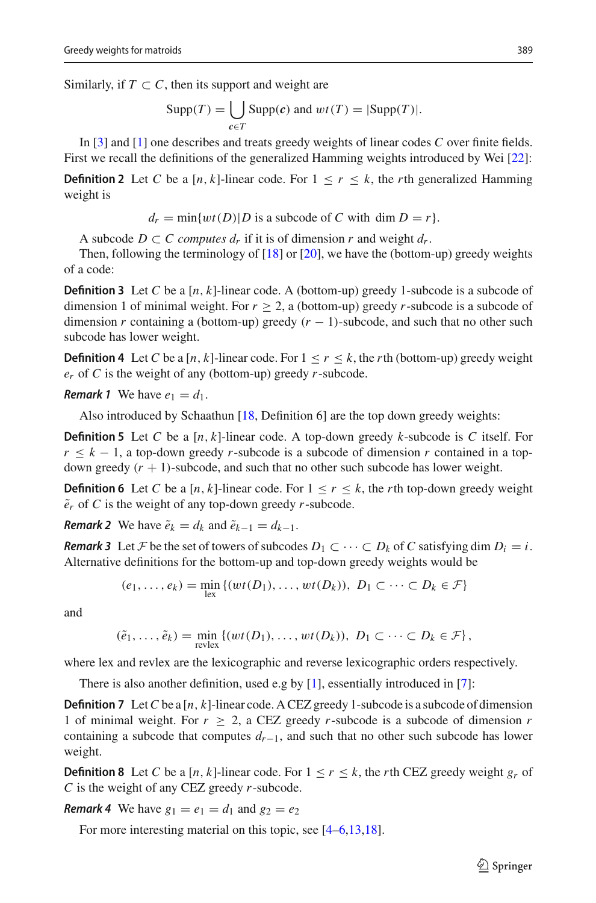Similarly, if  $T \subset C$ , then its support and weight are

$$
Supp(T) = \bigcup_{c \in T} Supp(c) \text{ and } wt(T) = |Supp(T)|.
$$

In [\[3\]](#page-17-7) and [\[1\]](#page-17-2) one describes and treats greedy weights of linear codes *C* over finite fields. First we recall the definitions of the generalized Hamming weights introduced by Wei [\[22\]](#page-18-3):

**Definition 2** Let *C* be a  $[n, k]$ -linear code. For  $1 \leq r \leq k$ , the *r*th generalized Hamming weight is

 $d_r = \min\{wt(D)|D\}$  is a subcode of *C* with dim  $D = r$ .

A subcode  $D \subset C$  *computes d<sub>r</sub>* if it is of dimension *r* and weight  $d_r$ .

Then, following the terminology of [\[18\]](#page-18-0) or [\[20\]](#page-18-1), we have the (bottom-up) greedy weights of a code:

**Definition 3** Let C be a  $[n, k]$ -linear code. A (bottom-up) greedy 1-subcode is a subcode of dimension 1 of minimal weight. For  $r > 2$ , a (bottom-up) greedy *r*-subcode is a subcode of dimension *r* containing a (bottom-up) greedy  $(r - 1)$ -subcode, and such that no other such subcode has lower weight.

**Definition 4** Let *C* be a [*n*, *k*]-linear code. For  $1 \le r \le k$ , the *r*th (bottom-up) greedy weight *er* of *C* is the weight of any (bottom-up) greedy *r*-subcode.

*Remark 1* We have  $e_1 = d_1$ .

Also introduced by Schaathun [\[18,](#page-18-0) Definition 6] are the top down greedy weights:

**Definition 5** Let *C* be a [*n*, *k*]-linear code. A top-down greedy *k*-subcode is *C* itself. For  $r \leq k - 1$ , a top-down greedy *r*-subcode is a subcode of dimension *r* contained in a topdown greedy  $(r + 1)$ -subcode, and such that no other such subcode has lower weight.

**Definition 6** Let *C* be a [*n*, *k*]-linear code. For  $1 \le r \le k$ , the *r*th top-down greedy weight  $\tilde{e}_r$  of *C* is the weight of any top-down greedy *r*-subcode.

*Remark 2* We have  $\tilde{e}_k = d_k$  and  $\tilde{e}_{k-1} = d_{k-1}$ .

*Remark 3* Let *F* be the set of towers of subcodes  $D_1 \subset \cdots \subset D_k$  of *C* satisfying dim  $D_i = i$ . Alternative definitions for the bottom-up and top-down greedy weights would be

$$
(e_1, \ldots, e_k) = \min_{\text{lex}} \{ (wt(D_1), \ldots, wt(D_k)), D_1 \subset \cdots \subset D_k \in \mathcal{F} \}
$$

and

$$
(\tilde{e}_1,\ldots,\tilde{e}_k)=\min_{\text{revlex}}\left\{(wt(D_1),\ldots,wt(D_k)),\ D_1\subset\cdots\subset D_k\in\mathcal{F}\right\},\
$$

where lex and revlex are the lexicographic and reverse lexicographic orders respectively.

There is also another definition, used e.g by [\[1](#page-17-2)], essentially introduced in [\[7\]](#page-17-1):

**Definition 7** Let*C* be a [*n*, *k*]-linear code. A CEZ greedy 1-subcode is a subcode of dimension 1 of minimal weight. For  $r \ge 2$ , a CEZ greedy *r*-subcode is a subcode of dimension *r* containing a subcode that computes *dr*−1, and such that no other such subcode has lower weight.

**Definition 8** Let *C* be a [*n*, *k*]-linear code. For  $1 \le r \le k$ , the *r*th CEZ greedy weight  $g_r$  of *C* is the weight of any CEZ greedy *r*-subcode.

*Remark 4* We have  $g_1 = e_1 = d_1$  and  $g_2 = e_2$ 

For more interesting material on this topic, see  $[4-6,13,18]$  $[4-6,13,18]$  $[4-6,13,18]$  $[4-6,13,18]$  $[4-6,13,18]$ .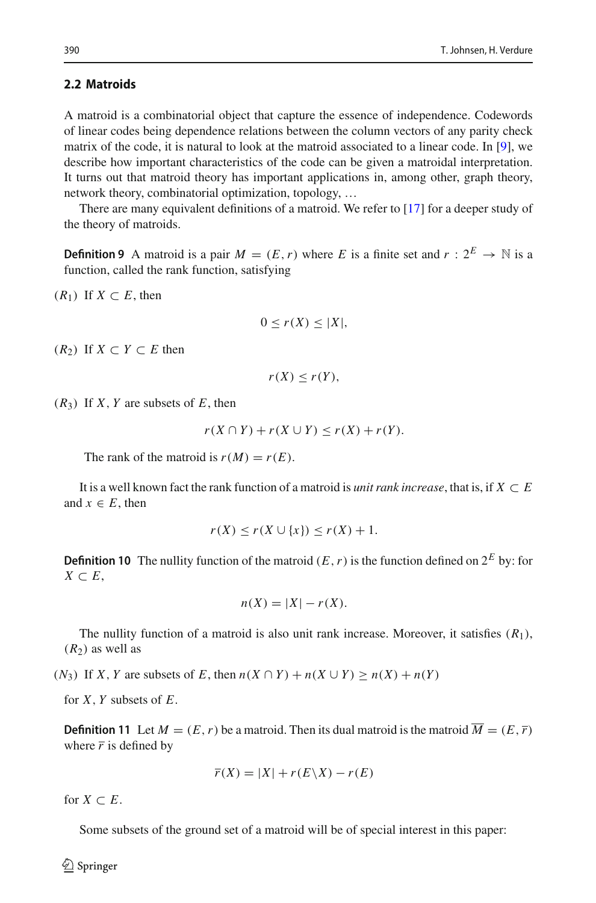#### **2.2 Matroids**

A matroid is a combinatorial object that capture the essence of independence. Codewords of linear codes being dependence relations between the column vectors of any parity check matrix of the code, it is natural to look at the matroid associated to a linear code. In [\[9\]](#page-17-4), we describe how important characteristics of the code can be given a matroidal interpretation. It turns out that matroid theory has important applications in, among other, graph theory, network theory, combinatorial optimization, topology, …

There are many equivalent definitions of a matroid. We refer to [\[17](#page-17-9)] for a deeper study of the theory of matroids.

**Definition 9** A matroid is a pair  $M = (E, r)$  where *E* is a finite set and  $r : 2^E \rightarrow \mathbb{N}$  is a function, called the rank function, satisfying

 $(R<sub>1</sub>)$  If *X* ⊂ *E*, then

$$
0 \le r(X) \le |X|,
$$

 $(R_2)$  If *X* ⊂ *Y* ⊂ *E* then

$$
r(X) \leq r(Y),
$$

 $(R_3)$  If *X*, *Y* are subsets of *E*, then

$$
r(X \cap Y) + r(X \cup Y) \le r(X) + r(Y).
$$

The rank of the matroid is  $r(M) = r(E)$ .

It is a well known fact the rank function of a matroid is *unit rank increase*, that is, if  $X \subset E$ and  $x \in E$ , then

$$
r(X) \le r(X \cup \{x\}) \le r(X) + 1.
$$

**Definition 10** The nullity function of the matroid  $(E, r)$  is the function defined on  $2^E$  by: for *X* ⊂ *E*,

$$
n(X) = |X| - r(X).
$$

The nullity function of a matroid is also unit rank increase. Moreover, it satisfies (*R*1),  $(R<sub>2</sub>)$  as well as

(*N*<sub>3</sub>) If *X*, *Y* are subsets of *E*, then  $n(X \cap Y) + n(X \cup Y) \ge n(X) + n(Y)$ 

for *X*, *Y* subsets of *E*.

**Definition 11** Let  $M = (E, r)$  be a matroid. Then its dual matroid is the matroid  $\overline{M} = (E, \overline{r})$ where  $\bar{r}$  is defined by

$$
\overline{r}(X) = |X| + r(E\backslash X) - r(E)
$$

for  $X \subset E$ .

Some subsets of the ground set of a matroid will be of special interest in this paper:

 $\circledcirc$  Springer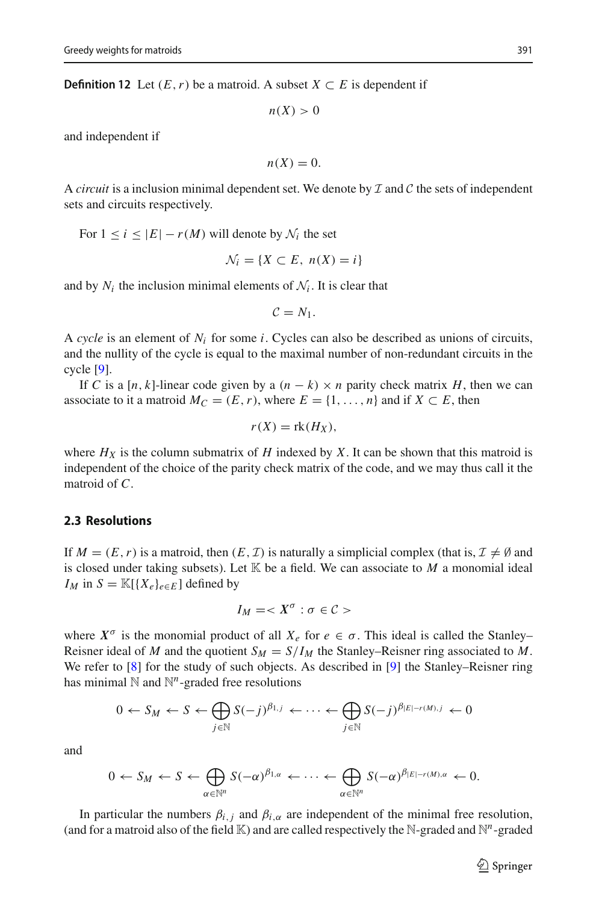**Definition 12** Let  $(E, r)$  be a matroid. A subset  $X \subset E$  is dependent if

 $n(X) > 0$ 

and independent if

$$
n(X)=0.
$$

A *circuit* is a inclusion minimal dependent set. We denote by *I* and *C* the sets of independent sets and circuits respectively.

For  $1 \leq i \leq |E| - r(M)$  will denote by  $\mathcal{N}_i$  the set

$$
\mathcal{N}_i = \{ X \subset E, \ n(X) = i \}
$$

and by  $N_i$  the inclusion minimal elements of  $N_i$ . It is clear that

$$
C=N_1.
$$

A *cycle* is an element of  $N_i$  for some *i*. Cycles can also be described as unions of circuits, and the nullity of the cycle is equal to the maximal number of non-redundant circuits in the cycle [\[9](#page-17-4)].

If *C* is a [*n*, *k*]-linear code given by a  $(n - k) \times n$  parity check matrix *H*, then we can associate to it a matroid  $M_C = (E, r)$ , where  $E = \{1, \ldots, n\}$  and if  $X \subset E$ , then

$$
r(X) = \text{rk}(H_X),
$$

where  $H_X$  is the column submatrix of  $H$  indexed by  $X$ . It can be shown that this matroid is independent of the choice of the parity check matrix of the code, and we may thus call it the matroid of *C*.

#### **2.3 Resolutions**

If  $M = (E, r)$  is a matroid, then  $(E, \mathcal{I})$  is naturally a simplicial complex (that is,  $\mathcal{I} \neq \emptyset$  and is closed under taking subsets). Let  $K$  be a field. We can associate to  $M$  a monomial ideal *IM* in  $S = \mathbb{K}[\{X_e\}_{e \in E}]$  defined by

$$
I_M =
$$

where  $X^{\sigma}$  is the monomial product of all  $X_e$  for  $e \in \sigma$ . This ideal is called the Stanley– Reisner ideal of *M* and the quotient  $S_M = S/I_M$  the Stanley–Reisner ring associated to *M*. We refer to [\[8](#page-17-10)] for the study of such objects. As described in [\[9\]](#page-17-4) the Stanley–Reisner ring has minimal  $\mathbb N$  and  $\mathbb N^n$ -graded free resolutions

$$
0 \leftarrow S_M \leftarrow S \leftarrow \bigoplus_{j \in \mathbb{N}} S(-j)^{\beta_{1,j}} \leftarrow \cdots \leftarrow \bigoplus_{j \in \mathbb{N}} S(-j)^{\beta_{|E|-r(M),j}} \leftarrow 0
$$

and

$$
0 \leftarrow S_M \leftarrow S \leftarrow \bigoplus_{\alpha \in \mathbb{N}^n} S(-\alpha)^{\beta_{1,\alpha}} \leftarrow \cdots \leftarrow \bigoplus_{\alpha \in \mathbb{N}^n} S(-\alpha)^{\beta_{|E|-r(M),\alpha}} \leftarrow 0.
$$

In particular the numbers  $\beta_{i,j}$  and  $\beta_{i,\alpha}$  are independent of the minimal free resolution, (and for a matroid also of the field  $K$ ) and are called respectively the N-graded and  $N^n$ -graded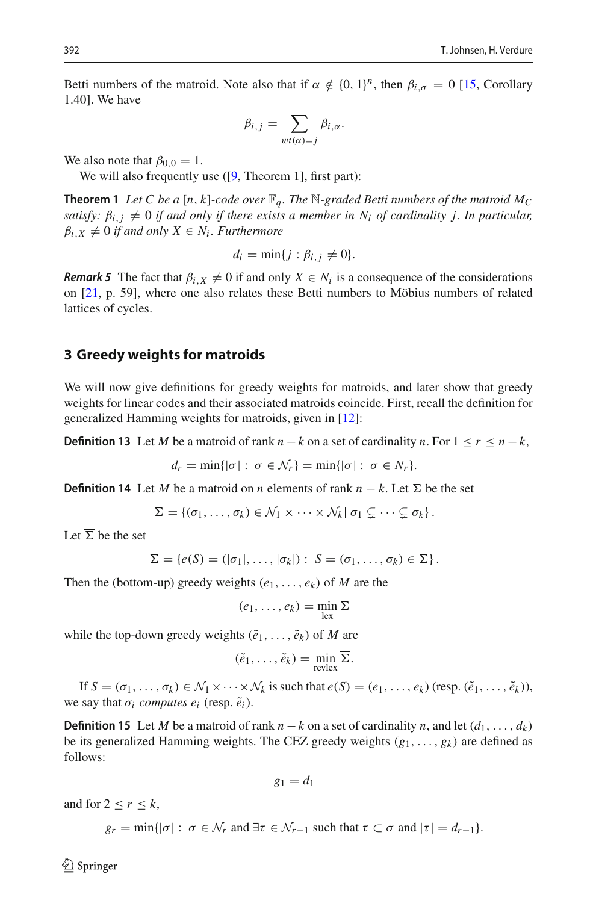Betti numbers of the matroid. Note also that if  $\alpha \notin \{0, 1\}^n$ , then  $\beta_{i,\sigma} = 0$  [\[15](#page-17-11), Corollary 1.40]. We have

$$
\beta_{i,j} = \sum_{wt(\alpha)=j} \beta_{i,\alpha}.
$$

We also note that  $\beta_{0.0} = 1$ .

<span id="page-5-3"></span>We will also frequently use  $([9, Theorem 1]$  $([9, Theorem 1]$  $([9, Theorem 1]$ , first part):

**Theorem 1** Let C be a [n, k]-code over  $\mathbb{F}_q$ . The N-graded Betti numbers of the matroid  $M_C$ *satisfy:*  $\beta_{i,j} \neq 0$  *if and only if there exists a member in*  $N_i$  *of cardinality j. In particular,*  $\beta_{i,X} \neq 0$  *if and only*  $X \in N_i$ *. Furthermore* 

$$
d_i = \min\{j : \beta_{i,j} \neq 0\}.
$$

*Remark 5* The fact that  $\beta_{i,X} \neq 0$  if and only  $X \in N_i$  is a consequence of the considerations on [\[21,](#page-18-4) p. 59], where one also relates these Betti numbers to Möbius numbers of related lattices of cycles.

#### <span id="page-5-0"></span>**3 Greedy weights for matroids**

We will now give definitions for greedy weights for matroids, and later show that greedy weights for linear codes and their associated matroids coincide. First, recall the definition for generalized Hamming weights for matroids, given in [\[12\]](#page-17-6):

**Definition 13** Let *M* be a matroid of rank  $n - k$  on a set of cardinality *n*. For  $1 \leq r \leq n - k$ ,

$$
d_r = \min\{|\sigma| : \sigma \in \mathcal{N}_r\} = \min\{|\sigma| : \sigma \in \mathcal{N}_r\}.
$$

<span id="page-5-1"></span>**Definition 14** Let *M* be a matroid on *n* elements of rank  $n - k$ . Let  $\Sigma$  be the set

$$
\Sigma = \{(\sigma_1, \ldots, \sigma_k) \in \mathcal{N}_1 \times \cdots \times \mathcal{N}_k | \sigma_1 \subsetneq \cdots \subsetneq \sigma_k \}.
$$

Let  $\overline{\Sigma}$  be the set

$$
\Sigma = \{e(S) = (|\sigma_1|, \ldots, |\sigma_k|): S = (\sigma_1, \ldots, \sigma_k) \in \Sigma\}.
$$

Then the (bottom-up) greedy weights  $(e_1, \ldots, e_k)$  of *M* are the

$$
(e_1,\ldots,e_k)=\min_{\mathrm{lex}}\overline{\Sigma}
$$

while the top-down greedy weights  $(\tilde{e}_1, \ldots, \tilde{e}_k)$  of *M* are

$$
(\tilde{e}_1,\ldots,\tilde{e}_k)=\min_{\text{revlex}}\overline{\Sigma}.
$$

<span id="page-5-2"></span>If  $S = (\sigma_1, \ldots, \sigma_k) \in \mathcal{N}_1 \times \cdots \times \mathcal{N}_k$  is such that  $e(S) = (e_1, \ldots, e_k)$  (resp.  $(\tilde{e}_1, \ldots, \tilde{e}_k)$ ), we say that  $\sigma_i$  *computes e<sub>i</sub>* (resp.  $\tilde{e}_i$ ).

**Definition 15** Let *M* be a matroid of rank  $n - k$  on a set of cardinality *n*, and let  $(d_1, \ldots, d_k)$ be its generalized Hamming weights. The CEZ greedy weights  $(g_1, \ldots, g_k)$  are defined as follows:

$$
g_1=d_1
$$

and for  $2 < r < k$ ,

 $g_r = \min\{|\sigma| : \sigma \in \mathcal{N}_r \text{ and } \exists \tau \in \mathcal{N}_{r-1} \text{ such that } \tau \subset \sigma \text{ and } |\tau| = d_{r-1}\}.$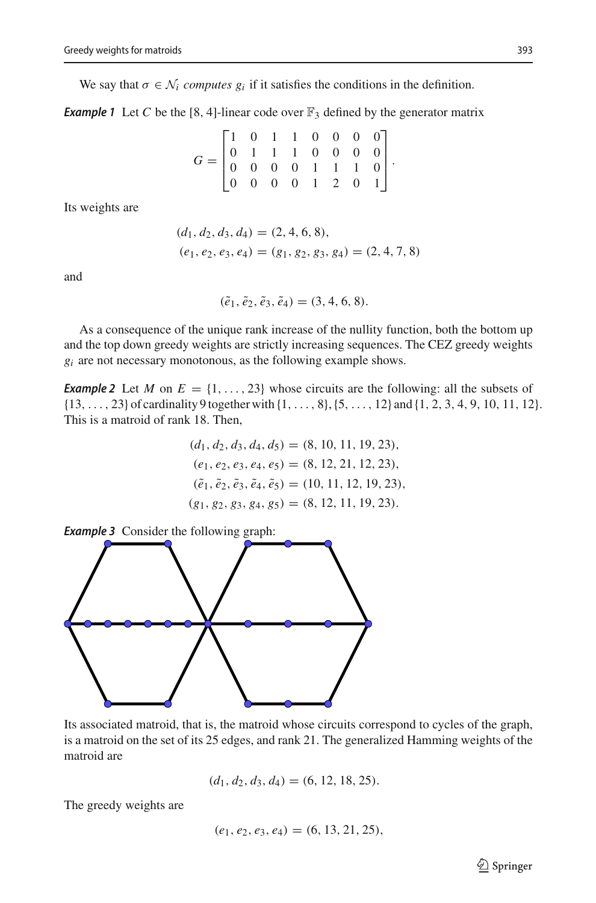<span id="page-6-0"></span>We say that  $\sigma \in \mathcal{N}_i$  *computes*  $g_i$  if it satisfies the conditions in the definition.

**Example 1** Let C be the [8, 4]-linear code over  $\mathbb{F}_3$  defined by the generator matrix

$$
G = \begin{bmatrix} 1 & 0 & 1 & 1 & 0 & 0 & 0 & 0 \\ 0 & 1 & 1 & 1 & 0 & 0 & 0 & 0 \\ 0 & 0 & 0 & 0 & 1 & 1 & 1 & 0 \\ 0 & 0 & 0 & 0 & 1 & 2 & 0 & 1 \end{bmatrix}.
$$

Its weights are

$$
(d_1, d_2, d_3, d_4) = (2, 4, 6, 8),
$$
  

$$
(e_1, e_2, e_3, e_4) = (g_1, g_2, g_3, g_4) = (2, 4, 7, 8)
$$

and

 $(\tilde{e}_1, \tilde{e}_2, \tilde{e}_3, \tilde{e}_4) = (3, 4, 6, 8).$ 

As a consequence of the unique rank increase of the nullity function, both the bottom up and the top down greedy weights are strictly increasing sequences. The CEZ greedy weights  $g_i$  are not necessary monotonous, as the following example shows.

**Example 2** Let *M* on  $E = \{1, \ldots, 23\}$  whose circuits are the following: all the subsets of  $\{13, \ldots, 23\}$  of cardinality 9 together with  $\{1, \ldots, 8\}$ ,  $\{5, \ldots, 12\}$  and  $\{1, 2, 3, 4, 9, 10, 11, 12\}$ . This is a matroid of rank 18. Then,

$$
(d_1, d_2, d_3, d_4, d_5) = (8, 10, 11, 19, 23),
$$
  
\n
$$
(e_1, e_2, e_3, e_4, e_5) = (8, 12, 21, 12, 23),
$$
  
\n
$$
(e_1, e_2, e_3, e_4, e_5) = (10, 11, 12, 19, 23),
$$
  
\n
$$
(g_1, g_2, g_3, g_4, g_5) = (8, 12, 11, 19, 23).
$$



Its associated matroid, that is, the matroid whose circuits correspond to cycles of the graph, is a matroid on the set of its 25 edges, and rank 21. The generalized Hamming weights of the matroid are

$$
(d_1, d_2, d_3, d_4) = (6, 12, 18, 25).
$$

The greedy weights are

$$
(e_1, e_2, e_3, e_4) = (6, 13, 21, 25),
$$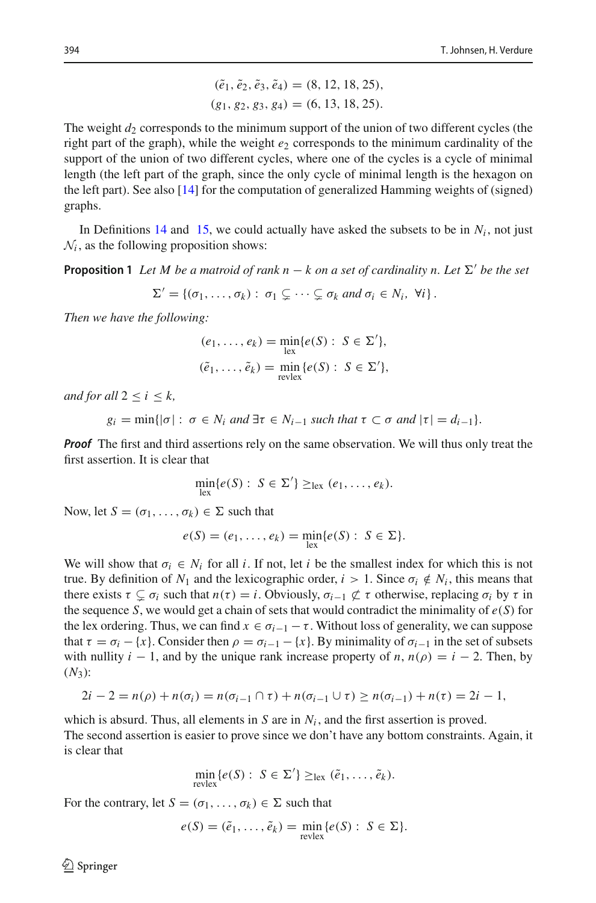$$
(\tilde{e}_1, \tilde{e}_2, \tilde{e}_3, \tilde{e}_4) = (8, 12, 18, 25),
$$
  

$$
(g_1, g_2, g_3, g_4) = (6, 13, 18, 25).
$$

The weight  $d_2$  corresponds to the minimum support of the union of two different cycles (the right part of the graph), while the weight  $e_2$  corresponds to the minimum cardinality of the support of the union of two different cycles, where one of the cycles is a cycle of minimal length (the left part of the graph, since the only cycle of minimal length is the hexagon on the left part). See also [\[14\]](#page-17-12) for the computation of generalized Hamming weights of (signed) graphs.

<span id="page-7-0"></span>In Definitions [14](#page-5-1) and [15,](#page-5-2) we could actually have asked the subsets to be in  $N_i$ , not just  $N_i$ , as the following proposition shows:

**Proposition 1** Let M be a matroid of rank  $n - k$  on a set of cardinality n. Let  $\Sigma'$  be the set

$$
\Sigma' = \{(\sigma_1, \ldots, \sigma_k) : \sigma_1 \subsetneq \cdots \subsetneq \sigma_k \text{ and } \sigma_i \in N_i, \forall i\}.
$$

*Then we have the following:*

$$
(e_1, \ldots, e_k) = \min_{\substack{\text{lex}}} \{e(S) : S \in \Sigma'\},
$$
  

$$
(\tilde{e}_1, \ldots, \tilde{e}_k) = \min_{\substack{\text{revlex}}} \{e(S) : S \in \Sigma'\},
$$

*and for all*  $2 < i < k$ ,

 $g_i = \min\{|\sigma| : \sigma \in N_i \text{ and } \exists \tau \in N_{i-1} \text{ such that } \tau \subset \sigma \text{ and } |\tau| = d_{i-1}\}.$ 

*Proof* The first and third assertions rely on the same observation. We will thus only treat the first assertion. It is clear that

$$
\min_{\text{lex}}\{e(S): S \in \Sigma'\} \geq_{\text{lex}} (e_1, \ldots, e_k).
$$

Now, let  $S = (\sigma_1, \ldots, \sigma_k) \in \Sigma$  such that

$$
e(S) = (e_1, \ldots, e_k) = \min_{\mathrm{lex}} \{e(S) : S \in \Sigma\}.
$$

We will show that  $\sigma_i \in N_i$  for all *i*. If not, let *i* be the smallest index for which this is not true. By definition of  $N_1$  and the lexicographic order,  $i > 1$ . Since  $\sigma_i \notin N_i$ , this means that there exists  $\tau \subsetneq \sigma_i$  such that  $n(\tau) = i$ . Obviously,  $\sigma_{i-1} \not\subset \tau$  otherwise, replacing  $\sigma_i$  by  $\tau$  in the sequence *S*, we would get a chain of sets that would contradict the minimality of  $e(S)$  for the lex ordering. Thus, we can find  $x \in \sigma_{i-1} - \tau$ . Without loss of generality, we can suppose that  $\tau = \sigma_i - \{x\}$ . Consider then  $\rho = \sigma_{i-1} - \{x\}$ . By minimality of  $\sigma_{i-1}$  in the set of subsets with nullity  $i - 1$ , and by the unique rank increase property of *n*,  $n(\rho) = i - 2$ . Then, by  $(N_3)$ :

$$
2i - 2 = n(\rho) + n(\sigma_i) = n(\sigma_{i-1} \cap \tau) + n(\sigma_{i-1} \cup \tau) \ge n(\sigma_{i-1}) + n(\tau) = 2i - 1,
$$

which is absurd. Thus, all elements in  $S$  are in  $N_i$ , and the first assertion is proved. The second assertion is easier to prove since we don't have any bottom constraints. Again, it is clear that

$$
\min_{\text{revlex}} \{e(S): S \in \Sigma'\} \geq_{\text{lex}} (\tilde{e}_1, \ldots, \tilde{e}_k).
$$

For the contrary, let  $S = (\sigma_1, \ldots, \sigma_k) \in \Sigma$  such that

$$
e(S) = (\tilde{e}_1, \dots, \tilde{e}_k) = \min_{\text{revlex}} \{e(S) : S \in \Sigma\}.
$$

 $\mathcal{L}$  Springer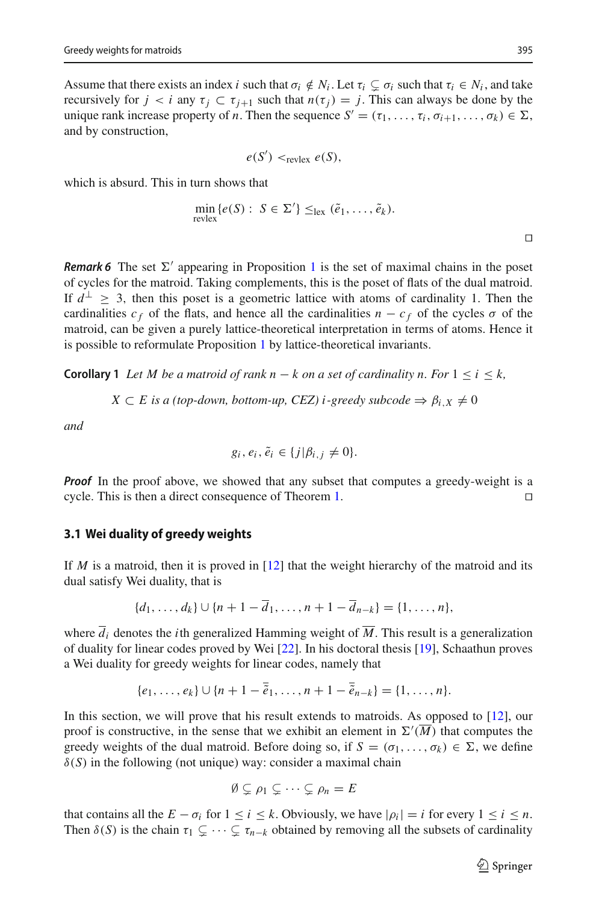Assume that there exists an index *i* such that  $\sigma_i \notin N_i$ . Let  $\tau_i \subsetneq \sigma_i$  such that  $\tau_i \in N_i$ , and take recursively for  $j < i$  any  $\tau_j \subset \tau_{j+1}$  such that  $n(\tau_j) = j$ . This can always be done by the unique rank increase property of *n*. Then the sequence  $S' = (\tau_1, \ldots, \tau_i, \sigma_{i+1}, \ldots, \sigma_k) \in \Sigma$ , and by construction,

$$
e(S') <_{\text{revlex}} e(S),
$$

which is absurd. This in turn shows that

$$
\min_{\text{revlex}} \{e(S) : S \in \Sigma'\} \leq_{\text{lex}} (\tilde{e}_1, \dots, \tilde{e}_k).
$$

**Remark 6** The set  $\Sigma'$  appearing in Proposition [1](#page-7-0) is the set of maximal chains in the poset of cycles for the matroid. Taking complements, this is the poset of flats of the dual matroid. If  $d^{\perp} \geq 3$ , then this poset is a geometric lattice with atoms of cardinality 1. Then the cardinalities  $c_f$  of the flats, and hence all the cardinalities  $n - c_f$  of the cycles  $\sigma$  of the matroid, can be given a purely lattice-theoretical interpretation in terms of atoms. Hence it is possible to reformulate Proposition [1](#page-7-0) by lattice-theoretical invariants.

<span id="page-8-0"></span>**Corollary 1** *Let M be a matroid of rank n* − *k on a set of cardinality n. For*  $1 \le i \le k$ ,

$$
X \subset E
$$
 is a (top-down, bottom-up, CEZ) i-greedy subcode  $\Rightarrow \beta_{i,X} \neq 0$ 

*and*

$$
g_i, e_i, \tilde{e}_i \in \{j | \beta_{i,j} \neq 0\}.
$$

*Proof* In the proof above, we showed that any subset that computes a greedy-weight is a cycle. This is then a direct consequence of Theorem [1.](#page-5-3)

#### **3.1 Wei duality of greedy weights**

If *M* is a matroid, then it is proved in [\[12](#page-17-6)] that the weight hierarchy of the matroid and its dual satisfy Wei duality, that is

$$
\{d_1, \ldots, d_k\} \cup \{n+1-\overline{d}_1, \ldots, n+1-\overline{d}_{n-k}\} = \{1, \ldots, n\},\
$$

where  $\overline{d}_i$  denotes the *i*th generalized Hamming weight of  $\overline{M}$ . This result is a generalization of duality for linear codes proved by Wei [\[22](#page-18-3)]. In his doctoral thesis [\[19](#page-18-2)], Schaathun proves a Wei duality for greedy weights for linear codes, namely that

$$
\{e_1,\ldots,e_k\}\cup\{n+1-\overline{\tilde{e}}_1,\ldots,n+1-\overline{\tilde{e}}_{n-k}\}=\{1,\ldots,n\}.
$$

In this section, we will prove that his result extends to matroids. As opposed to [\[12\]](#page-17-6), our proof is constructive, in the sense that we exhibit an element in  $\Sigma'(M)$  that computes the greedy weights of the dual matroid. Before doing so, if  $S = (\sigma_1, \ldots, \sigma_k) \in \Sigma$ , we define  $\delta(S)$  in the following (not unique) way: consider a maximal chain

$$
\emptyset \subsetneq \rho_1 \subsetneq \cdots \subsetneq \rho_n = E
$$

that contains all the  $E - \sigma_i$  for  $1 \le i \le k$ . Obviously, we have  $|\rho_i| = i$  for every  $1 \le i \le n$ . Then  $\delta(S)$  is the chain  $\tau_1 \subsetneq \cdots \subsetneq \tau_{n-k}$  obtained by removing all the subsets of cardinality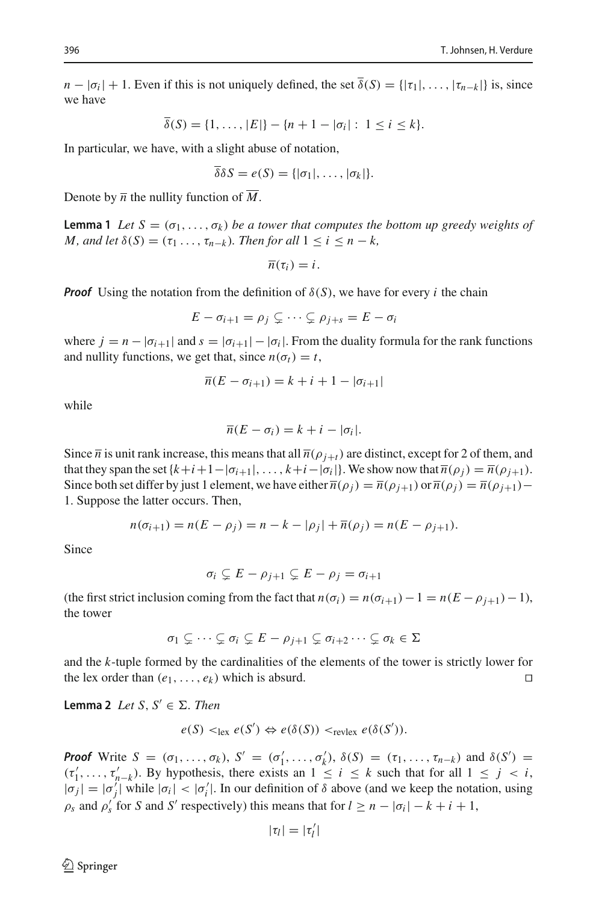$n - |\sigma_i| + 1$ . Even if this is not uniquely defined, the set  $\overline{\delta}(S) = {|\tau_1|, \ldots, |\tau_{n-k}|}$  is, since we have

$$
\overline{\delta}(S) = \{1, \ldots, |E|\} - \{n+1 - |\sigma_i| : 1 \le i \le k\}.
$$

In particular, we have, with a slight abuse of notation,

$$
\overline{\delta}\delta S = e(S) = \{|\sigma_1|, \ldots, |\sigma_k|\}.
$$

<span id="page-9-0"></span>Denote by  $\overline{n}$  the nullity function of  $\overline{M}$ .

**Lemma 1** *Let*  $S = (\sigma_1, \ldots, \sigma_k)$  *be a tower that computes the bottom up greedy weights of M*, and let  $\delta(S) = (\tau_1 \ldots, \tau_{n-k})$ *. Then for all*  $1 \leq i \leq n-k$ *,* 

 $\overline{n}(\tau_i) = i$ .

*Proof* Using the notation from the definition of  $\delta(S)$ , we have for every *i* the chain

$$
E - \sigma_{i+1} = \rho_j \subsetneq \cdots \subsetneq \rho_{j+s} = E - \sigma_i
$$

where  $j = n - |\sigma_{i+1}|$  and  $s = |\sigma_{i+1}| - |\sigma_i|$ . From the duality formula for the rank functions and nullity functions, we get that, since  $n(\sigma_t) = t$ ,

$$
\overline{n}(E - \sigma_{i+1}) = k + i + 1 - |\sigma_{i+1}|
$$

while

$$
\overline{n}(E-\sigma_i)=k+i-|\sigma_i|.
$$

Since  $\bar{n}$  is unit rank increase, this means that all  $\bar{n}(\rho_{j+t})$  are distinct, except for 2 of them, and that they span the set  $\{k+i+1-|\sigma_{i+1}|,\ldots,k+i-|\sigma_{i}|\}$ . We show now that  $\overline{n}(\rho_i) = \overline{n}(\rho_{i+1}).$ Since both set differ by just 1 element, we have either  $\overline{n}(\rho_i) = \overline{n}(\rho_{i+1})$  or  $\overline{n}(\rho_i) = \overline{n}(\rho_{i+1})$ 1. Suppose the latter occurs. Then,

$$
n(\sigma_{i+1}) = n(E - \rho_j) = n - k - |\rho_j| + \overline{n}(\rho_j) = n(E - \rho_{j+1}).
$$

Since

 $\sigma_i \subsetneq E - \rho_{j+1} \subsetneq E - \rho_j = \sigma_{i+1}$ 

(the first strict inclusion coming from the fact that  $n(\sigma_i) = n(\sigma_{i+1}) - 1 = n(E - \rho_{i+1}) - 1$ ), the tower

$$
\sigma_1 \subsetneq \cdots \subsetneq \sigma_i \subsetneq E - \rho_{j+1} \subsetneq \sigma_{i+2} \cdots \subsetneq \sigma_k \in \Sigma
$$

and the *k*-tuple formed by the cardinalities of the elements of the tower is strictly lower for the lex order than  $(e_1, \ldots, e_k)$  which is absurd.

<span id="page-9-1"></span>**Lemma 2** *Let*  $S, S' \in \Sigma$ *. Then* 

$$
e(S) <_{\text{lex}} e(S') \Leftrightarrow e(\delta(S)) <_{\text{revlex}} e(\delta(S')).
$$

*Proof* Write  $S = (\sigma_1, \ldots, \sigma_k)$ ,  $S' = (\sigma'_1, \ldots, \sigma'_k)$ ,  $\delta(S) = (\tau_1, \ldots, \tau_{n-k})$  and  $\delta(S') =$  $(\tau'_1, \ldots, \tau'_{n-k})$ . By hypothesis, there exists an  $1 \leq i \leq k$  such that for all  $1 \leq j < i$ ,  $|\sigma_j| = |\sigma'_j|$  while  $|\sigma_i| < |\sigma'_i|$ . In our definition of  $\delta$  above (and we keep the notation, using  $\rho_s$  and  $\rho'_s$  for *S* and *S'* respectively) this means that for  $l \ge n - |\sigma_i| - k + i + 1$ ,

$$
|\tau_l|=|\tau'_l|
$$

 $\circledcirc$  Springer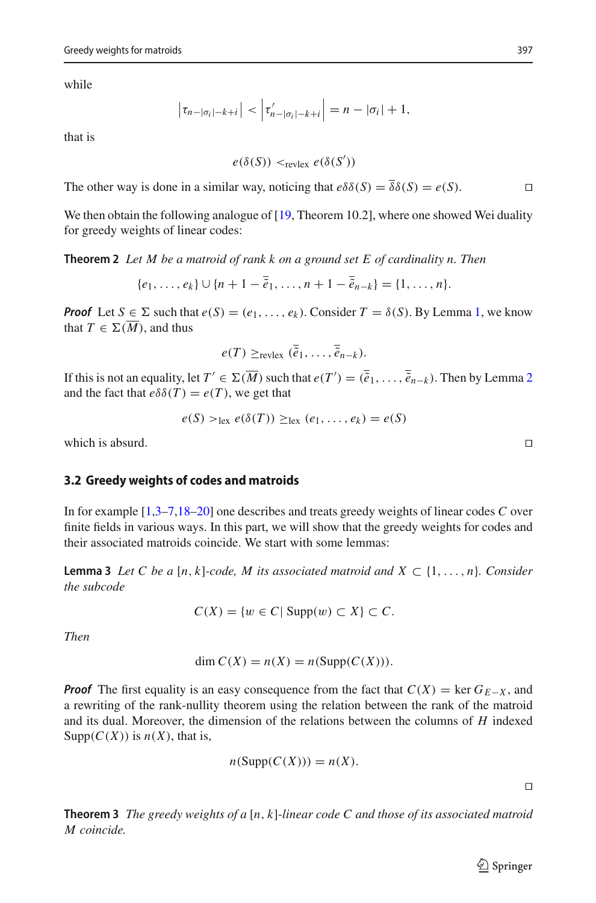while

$$
\left|\tau_{n-|\sigma_i|-k+i}\right|<\left|\tau'_{n-|\sigma_i|-k+i}\right|=n-|\sigma_i|+1,
$$

that is

$$
e(\delta(S)) <_{\text{revlex}} e(\delta(S'))
$$

The other way is done in a similar way, noticing that  $e\delta\delta(S) = \overline{\delta}\delta(S) = e(S)$ .

<span id="page-10-0"></span>We then obtain the following analogue of  $[19,$  Theorem 10.2], where one showed Wei duality for greedy weights of linear codes:

**Theorem 2** *Let M be a matroid of rank k on a ground set E of cardinality n. Then*

$$
\{e_1, \ldots, e_k\} \cup \{n+1-\overline{e}_1, \ldots, n+1-\overline{e}_{n-k}\} = \{1, \ldots, n\}.
$$

*Proof* Let  $S \in \Sigma$  such that  $e(S) = (e_1, \ldots, e_k)$  $e(S) = (e_1, \ldots, e_k)$  $e(S) = (e_1, \ldots, e_k)$ . Consider  $T = \delta(S)$ . By Lemma 1, we know that  $T \in \Sigma(\overline{M})$ , and thus

$$
e(T) \geq_{\text{revlex}} (\overline{\tilde{e}}_1, \ldots, \overline{\tilde{e}}_{n-k}).
$$

If this is not an equality, let  $T' \in \Sigma(M)$  such that  $e(T') = (\tilde{e}_1, \ldots, \tilde{e}_{n-k})$ . Then by Lemma [2](#page-9-1) and the fact that  $e\delta\delta(T) = e(T)$ , we get that

$$
e(S) >_{\text{lex}} e(\delta(T)) \geq_{\text{lex}} (e_1, \ldots, e_k) = e(S)
$$

which is absurd.  $\square$ 

#### **3.2 Greedy weights of codes and matroids**

In for example [\[1](#page-17-2)[,3](#page-17-7)[–7](#page-17-1)[,18](#page-18-0)[–20\]](#page-18-1) one describes and treats greedy weights of linear codes *C* over finite fields in various ways. In this part, we will show that the greedy weights for codes and their associated matroids coincide. We start with some lemmas:

**Lemma 3** *Let C be a* [*n*, *k*]*-code, M its associated matroid and X* ⊂ {1,..., *n*}*. Consider the subcode*

$$
C(X) = \{ w \in C | \operatorname{Supp}(w) \subset X \} \subset C.
$$

*Then*

$$
\dim C(X) = n(X) = n(\text{Supp}(C(X))).
$$

*Proof* The first equality is an easy consequence from the fact that  $C(X) = \text{ker } G_{E-X}$ , and a rewriting of the rank-nullity theorem using the relation between the rank of the matroid and its dual. Moreover, the dimension of the relations between the columns of *H* indexed Supp $(C(X))$  is  $n(X)$ , that is,

$$
n(\text{Supp}(C(X))) = n(X).
$$

 $\Box$ 

<span id="page-10-1"></span>**Theorem 3** *The greedy weights of a* [*n*, *k*]*-linear code C and those of its associated matroid M coincide.*

 $\circled{2}$  Springer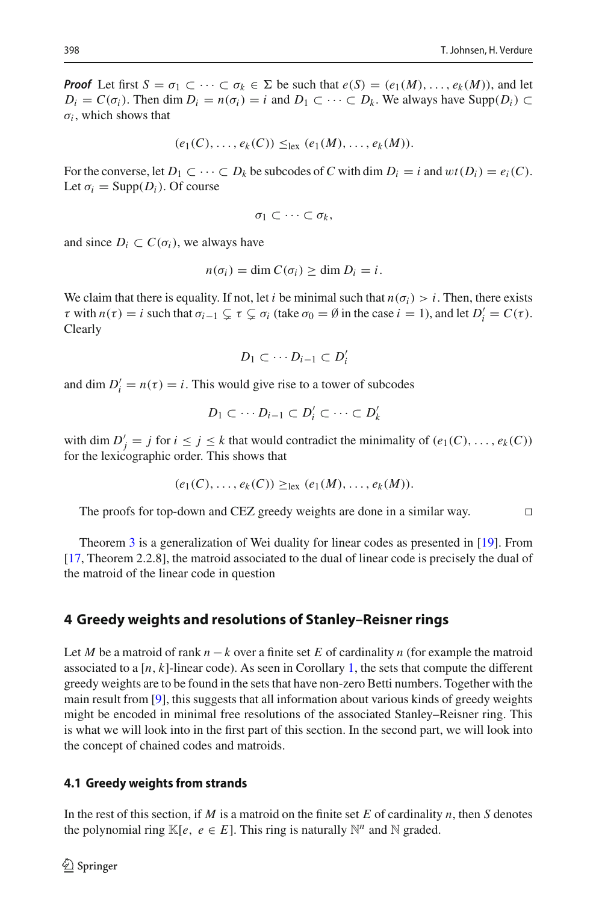*Proof* Let first  $S = \sigma_1 \subset \cdots \subset \sigma_k \in \Sigma$  be such that  $e(S) = (e_1(M), \ldots, e_k(M))$ , and let  $D_i = C(\sigma_i)$ . Then dim  $D_i = n(\sigma_i) = i$  and  $D_1 \subset \cdots \subset D_k$ . We always have Supp $(D_i) \subset$  $\sigma_i$ , which shows that

$$
(e_1(C),\ldots,e_k(C))\leq_{\text{lex}} (e_1(M),\ldots,e_k(M)).
$$

For the converse, let  $D_1 \subset \cdots \subset D_k$  be subcodes of C with dim  $D_i = i$  and  $wt(D_i) = e_i(C)$ . Let  $\sigma_i = \text{Supp}(D_i)$ . Of course

$$
\sigma_1\subset\cdots\subset\sigma_k,
$$

and since  $D_i \subset C(\sigma_i)$ , we always have

$$
n(\sigma_i) = \dim C(\sigma_i) \ge \dim D_i = i.
$$

We claim that there is equality. If not, let *i* be minimal such that  $n(\sigma_i) > i$ . Then, there exists  $\tau$  with  $n(\tau) = i$  such that  $\sigma_{i-1} \subsetneq \tau \subsetneq \sigma_i$  (take  $\sigma_0 = \emptyset$  in the case  $i = 1$ ), and let  $D'_i = C(\tau)$ . Clearly

$$
D_1\subset\cdots D_{i-1}\subset D'_i
$$

and dim  $D'_i = n(\tau) = i$ . This would give rise to a tower of subcodes

$$
D_1 \subset \cdots D_{i-1} \subset D'_i \subset \cdots \subset D'_k
$$

with dim  $D'_j = j$  for  $i \leq j \leq k$  that would contradict the minimality of  $(e_1(C), \ldots, e_k(C))$ for the lexicographic order. This shows that

$$
(e_1(C),\ldots,e_k(C))\geq_{\text{lex}} (e_1(M),\ldots,e_k(M)).
$$

The proofs for top-down and CEZ greedy weights are done in a similar way.

Theorem [3](#page-10-1) is a generalization of Wei duality for linear codes as presented in [\[19](#page-18-2)]. From [\[17,](#page-17-9) Theorem 2.2.8], the matroid associated to the dual of linear code is precisely the dual of the matroid of the linear code in question

#### <span id="page-11-0"></span>**4 Greedy weights and resolutions of Stanley–Reisner rings**

Let *M* be a matroid of rank *n* −*k* over a finite set *E* of cardinality *n* (for example the matroid associated to a  $[n, k]$ -linear code). As seen in Corollary [1,](#page-8-0) the sets that compute the different greedy weights are to be found in the sets that have non-zero Betti numbers. Together with the main result from [\[9](#page-17-4)], this suggests that all information about various kinds of greedy weights might be encoded in minimal free resolutions of the associated Stanley–Reisner ring. This is what we will look into in the first part of this section. In the second part, we will look into the concept of chained codes and matroids.

#### **4.1 Greedy weights from strands**

In the rest of this section, if *M* is a matroid on the finite set *E* of cardinality *n*, then *S* denotes the polynomial ring  $\mathbb{K}[e, e \in E]$ . This ring is naturally  $\mathbb{N}^n$  and  $\mathbb{N}$  graded.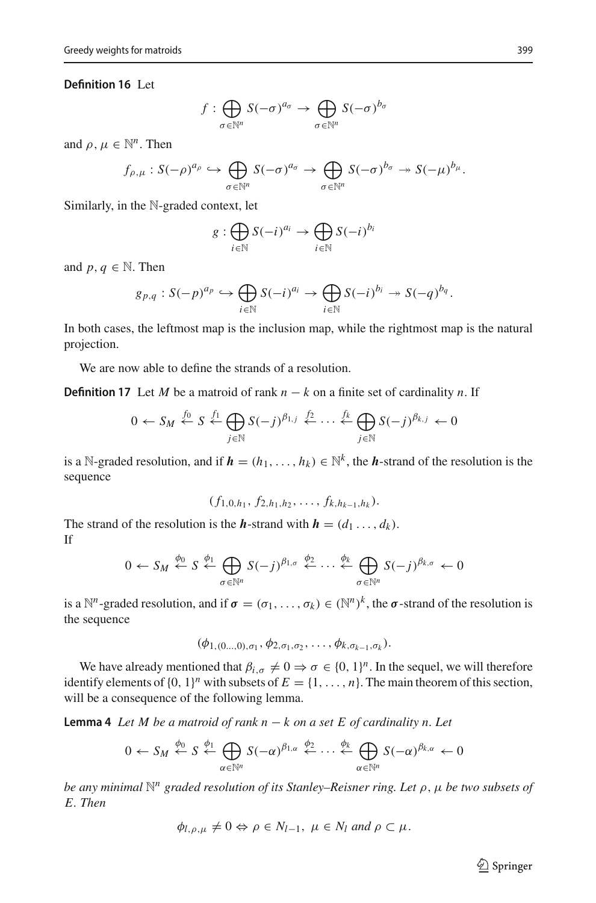#### **Definition 16** Let

$$
f: \bigoplus_{\sigma \in \mathbb{N}^n} S(-\sigma)^{a_{\sigma}} \to \bigoplus_{\sigma \in \mathbb{N}^n} S(-\sigma)^{b_{\sigma}}
$$

and  $\rho, \mu \in \mathbb{N}^n$ . Then

$$
f_{\rho,\mu}:S(-\rho)^{a_{\rho}}\hookrightarrow\bigoplus_{\sigma\in\mathbb{N}^n}S(-\sigma)^{a_{\sigma}}\rightarrow\bigoplus_{\sigma\in\mathbb{N}^n}S(-\sigma)^{b_{\sigma}}\twoheadrightarrow S(-\mu)^{b_{\mu}}.
$$

Similarly, in the N-graded context, let

$$
g: \bigoplus_{i \in \mathbb{N}} S(-i)^{a_i} \to \bigoplus_{i \in \mathbb{N}} S(-i)^{b_i}
$$

and *p*,  $q \in \mathbb{N}$ . Then

$$
g_{p,q}: S(-p)^{a_p} \hookrightarrow \bigoplus_{i \in \mathbb{N}} S(-i)^{a_i} \to \bigoplus_{i \in \mathbb{N}} S(-i)^{b_i} \twoheadrightarrow S(-q)^{b_q}.
$$

In both cases, the leftmost map is the inclusion map, while the rightmost map is the natural projection.

We are now able to define the strands of a resolution.

**Definition 17** Let *M* be a matroid of rank  $n - k$  on a finite set of cardinality *n*. If

$$
0 \leftarrow S_M \stackrel{f_0}{\leftarrow} S \stackrel{f_1}{\leftarrow} \bigoplus_{j \in \mathbb{N}} S(-j)^{\beta_{1,j}} \stackrel{f_2}{\leftarrow} \cdots \stackrel{f_k}{\leftarrow} \bigoplus_{j \in \mathbb{N}} S(-j)^{\beta_{k,j}} \leftarrow 0
$$

is a N-graded resolution, and if  $h = (h_1, \ldots, h_k) \in \mathbb{N}^k$ , the *h*-strand of the resolution is the sequence

 $(f_{1,0,h_1}, f_{2,h_1,h_2}, \ldots, f_{k,h_{k-1},h_k}).$ 

The strand of the resolution is the *h*-strand with  $h = (d_1 \ldots, d_k)$ . If

$$
0 \leftarrow S_M \stackrel{\phi_0}{\leftarrow} S \stackrel{\phi_1}{\leftarrow} \bigoplus_{\sigma \in \mathbb{N}^n} S(-j)^{\beta_{1,\sigma}} \stackrel{\phi_2}{\leftarrow} \cdots \stackrel{\phi_k}{\leftarrow} \bigoplus_{\sigma \in \mathbb{N}^n} S(-j)^{\beta_{k,\sigma}} \leftarrow 0
$$

is a  $\mathbb{N}^n$ -graded resolution, and if  $\sigma = (\sigma_1, \ldots, \sigma_k) \in (\mathbb{N}^n)^k$ , the  $\sigma$ -strand of the resolution is the sequence

$$
(\phi_{1,(0...,0),\sigma_1},\phi_{2,\sigma_1,\sigma_2},\ldots,\phi_{k,\sigma_{k-1},\sigma_k}).
$$

We have already mentioned that  $\beta_{i,\sigma} \neq 0 \Rightarrow \sigma \in \{0, 1\}^n$ . In the sequel, we will therefore identify elements of  $\{0, 1\}^n$  with subsets of  $E = \{1, \ldots, n\}$ . The main theorem of this section, will be a consequence of the following lemma.

**Lemma 4** *Let M be a matroid of rank n* − *k on a set E of cardinality n. Let*

$$
0 \leftarrow S_M \stackrel{\phi_0}{\leftarrow} S \stackrel{\phi_1}{\leftarrow} \bigoplus_{\alpha \in \mathbb{N}^n} S(-\alpha)^{\beta_{1,\alpha}} \stackrel{\phi_2}{\leftarrow} \cdots \stackrel{\phi_k}{\leftarrow} \bigoplus_{\alpha \in \mathbb{N}^n} S(-\alpha)^{\beta_{k,\alpha}} \leftarrow 0
$$

*be any minimal* N*<sup>n</sup> graded resolution of its Stanley–Reisner ring. Let* ρ,μ *be two subsets of E. Then*

$$
\phi_{l,\rho,\mu} \neq 0 \Leftrightarrow \rho \in N_{l-1}, \ \mu \in N_l \ \text{and} \ \rho \subset \mu.
$$

 $\hat{\mathfrak{D}}$  Springer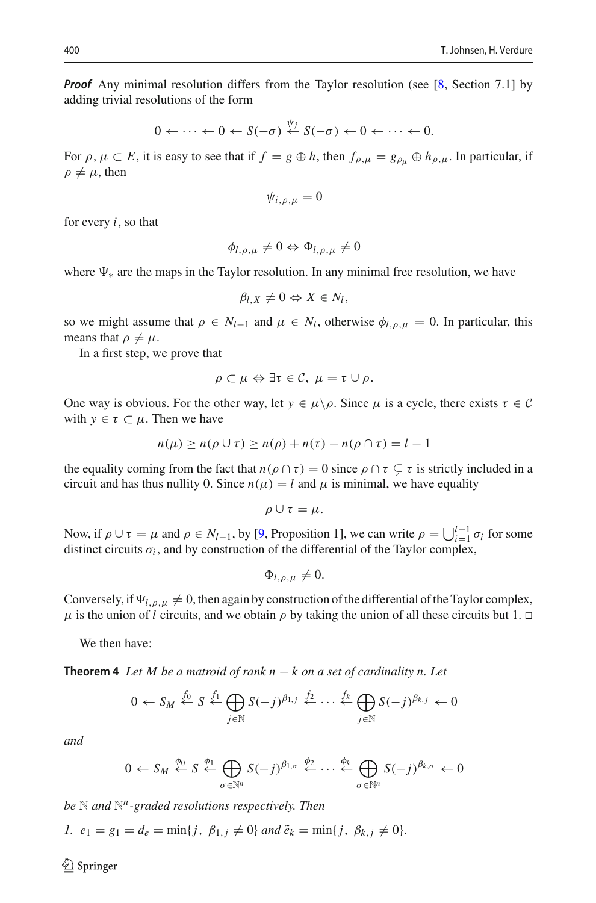*Proof* Any minimal resolution differs from the Taylor resolution (see [\[8,](#page-17-10) Section 7.1] by adding trivial resolutions of the form

$$
0 \leftarrow \cdots \leftarrow 0 \leftarrow S(-\sigma) \stackrel{\psi_j}{\leftarrow} S(-\sigma) \leftarrow 0 \leftarrow \cdots \leftarrow 0.
$$

For  $\rho, \mu \subset E$ , it is easy to see that if  $f = g \oplus h$ , then  $f_{\rho,\mu} = g_{\rho_\mu} \oplus h_{\rho,\mu}$ . In particular, if  $\rho \neq \mu$ , then

$$
\psi_{i,\rho,\mu}=0
$$

for every *i*, so that

$$
\phi_{l,\rho,\mu}\neq 0 \Leftrightarrow \Phi_{l,\rho,\mu}\neq 0
$$

where  $\Psi_*$  are the maps in the Taylor resolution. In any minimal free resolution, we have

$$
\beta_{l,X}\neq 0 \Leftrightarrow X\in N_l,
$$

so we might assume that  $\rho \in N_{l-1}$  and  $\mu \in N_l$ , otherwise  $\phi_{l,\rho,\mu} = 0$ . In particular, this means that  $\rho \neq \mu$ .

In a first step, we prove that

$$
\rho\subset\mu\Leftrightarrow\exists\tau\in\mathcal{C},\ \mu=\tau\cup\rho.
$$

One way is obvious. For the other way, let  $y \in \mu \backslash \rho$ . Since  $\mu$  is a cycle, there exists  $\tau \in \mathcal{C}$ with  $y \in \tau \subset \mu$ . Then we have

$$
n(\mu) \ge n(\rho \cup \tau) \ge n(\rho) + n(\tau) - n(\rho \cap \tau) = l - 1
$$

the equality coming from the fact that  $n(\rho \cap \tau) = 0$  since  $\rho \cap \tau \subsetneq \tau$  is strictly included in a circuit and has thus nullity 0. Since  $n(\mu) = l$  and  $\mu$  is minimal, we have equality

$$
\rho\cup\tau=\mu.
$$

Now, if  $\rho \cup \tau = \mu$  and  $\rho \in N_{l-1}$ , by [\[9](#page-17-4), Proposition 1], we can write  $\rho = \bigcup_{i=1}^{l-1} \sigma_i$  for some distinct circuits  $\sigma_i$ , and by construction of the differential of the Taylor complex,

$$
\Phi_{l,\rho,\mu}\neq 0.
$$

Conversely, if  $\Psi_{l,\rho,\mu} \neq 0$ , then again by construction of the differential of the Taylor complex,  $\mu$  is the union of *l* circuits, and we obtain  $\rho$  by taking the union of all these circuits but 1.  $\Box$ 

<span id="page-13-0"></span>We then have:

**Theorem 4** *Let M be a matroid of rank n* − *k on a set of cardinality n. Let*

$$
0 \leftarrow S_M \stackrel{f_0}{\leftarrow} S \stackrel{f_1}{\leftarrow} \bigoplus_{j \in \mathbb{N}} S(-j)^{\beta_{1,j}} \stackrel{f_2}{\leftarrow} \cdots \stackrel{f_k}{\leftarrow} \bigoplus_{j \in \mathbb{N}} S(-j)^{\beta_{k,j}} \leftarrow 0
$$

*and*

$$
0 \leftarrow S_M \stackrel{\phi_0}{\leftarrow} S \stackrel{\phi_1}{\leftarrow} \bigoplus_{\sigma \in \mathbb{N}^n} S(-j)^{\beta_{1,\sigma}} \stackrel{\phi_2}{\leftarrow} \cdots \stackrel{\phi_k}{\leftarrow} \bigoplus_{\sigma \in \mathbb{N}^n} S(-j)^{\beta_{k,\sigma}} \leftarrow 0
$$

*be* N *and* N*n-graded resolutions respectively. Then*

*1.*  $e_1 = g_1 = d_e = \min\{j, \beta_{1,j} \neq 0\}$  *and*  $\tilde{e}_k = \min\{j, \beta_{k,j} \neq 0\}.$ 

 $\circledcirc$  Springer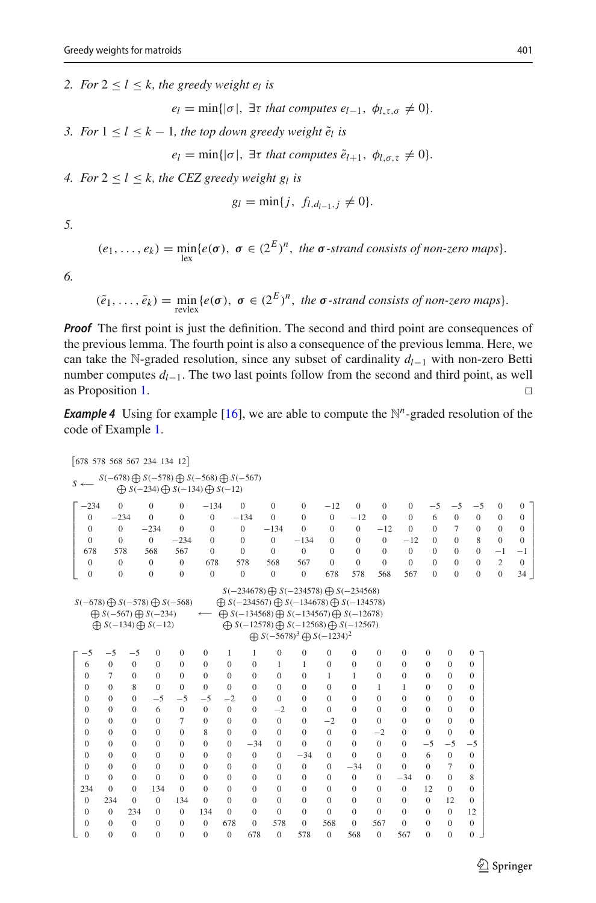*2. For*  $2 \le l \le k$ *, the greedy weight e<sub>l</sub> is* 

 $e_l = \min\{|\sigma|, \exists \tau \text{ that computes } e_{l-1}, \phi_{l,\tau,\sigma} \neq 0\}.$ 

*3. For*  $1 \leq l \leq k - 1$ *, the top down greedy weight*  $\tilde{e}_l$  *is* 

 $e_l = \min\{|\sigma|, \exists \tau \text{ that computes } \tilde{e}_{l+1}, \phi_{l,\sigma,\tau} \neq 0\}.$ 

*4. For*  $2 < l < k$ , the CEZ greedy weight g<sub>l</sub> is

$$
g_l = \min\{j, f_{l,d_{l-1},j} \neq 0\}.
$$

*5.*

$$
(e_1,\ldots,e_k)=\min_{\text{lex}}\{e(\boldsymbol{\sigma}),\ \boldsymbol{\sigma}\in(2^E)^n,\ the\ \boldsymbol{\sigma}\text{-strand consists of non-zero maps}\}.
$$

*6.*

$$
(\tilde{e}_1,\ldots,\tilde{e}_k)=\min_{\text{revlex}}\{e(\boldsymbol{\sigma}),\ \boldsymbol{\sigma}\in(2^E)^n,\ \text{the }\boldsymbol{\sigma}\text{-strand consists of non-zero maps}\}.
$$

*Proof* The first point is just the definition. The second and third point are consequences of the previous lemma. The fourth point is also a consequence of the previous lemma. Here, we can take the <sup>N</sup>-graded resolution, since any subset of cardinality *dl*−<sup>1</sup> with non-zero Betti number computes *d*<sub>*l*−1</sub>. The two last points follow from the second and third point, as well as Proposition 1.  $\Box$ as Proposition [1.](#page-7-0)

*Example 4* Using for example [\[16\]](#page-17-13), we are able to compute the  $\mathbb{N}^n$ -graded resolution of the code of Example [1.](#page-6-0)

| [678 578 568 567 234 134 12]                          |                |                |                                                                                               |                                                                                                                               |                                  |                  |                |                  |                                                                                                                                                                                                                                                                       |                  |                  |                  |                |                |                  |                  |                  |                  |
|-------------------------------------------------------|----------------|----------------|-----------------------------------------------------------------------------------------------|-------------------------------------------------------------------------------------------------------------------------------|----------------------------------|------------------|----------------|------------------|-----------------------------------------------------------------------------------------------------------------------------------------------------------------------------------------------------------------------------------------------------------------------|------------------|------------------|------------------|----------------|----------------|------------------|------------------|------------------|------------------|
| $S \leftarrow$                                        |                |                |                                                                                               | $S(-678) \bigoplus S(-578) \bigoplus S(-568) \bigoplus S(-567)$<br>$\bigoplus$ S(-234) $\bigoplus$ S(-134) $\bigoplus$ S(-12) |                                  |                  |                |                  |                                                                                                                                                                                                                                                                       |                  |                  |                  |                |                |                  |                  |                  |                  |
| $-234$                                                | $\Omega$       |                | $\overline{0}$                                                                                | $\mathbf{0}$                                                                                                                  | $-134$                           |                  | $\mathbf{0}$   | $\theta$         | $\mathbf{0}$                                                                                                                                                                                                                                                          | $-12$            | $\mathbf{0}$     | $\mathbf{0}$     | $\mathbf{0}$   | $-5$           | $-5$             | $-5$             | $\mathbf{0}$     | $\theta$         |
| $\mathbf{0}$                                          | $-234$         |                | $\overline{0}$                                                                                | $\overline{0}$                                                                                                                | $\mathbf{0}$                     |                  | $-134$         | $\Omega$         | $\overline{0}$                                                                                                                                                                                                                                                        | $\mathbf{0}$     | $-12$            | $\theta$         | $\mathbf{0}$   | 6              | $\mathbf{0}$     | $\mathbf{0}$     | $\mathbf{0}$     | $\theta$         |
| $\theta$                                              | $\overline{0}$ |                | $-234$                                                                                        | $\Omega$                                                                                                                      | $\overline{0}$                   |                  | $\overline{0}$ | $-134$           | $\theta$                                                                                                                                                                                                                                                              | $\Omega$         | $\mathbf{0}$     | $-12$            | $\Omega$       | $\Omega$       | 7                | $\theta$         | $\mathbf{0}$     | $\boldsymbol{0}$ |
| $\Omega$                                              | $\overline{0}$ |                | $\overline{0}$                                                                                | $-234$                                                                                                                        | $\Omega$                         |                  | $\Omega$       | $\overline{0}$   | $-134$                                                                                                                                                                                                                                                                | $\theta$         | $\theta$         | $\overline{0}$   | $-12$          | $\Omega$       | $\Omega$         | 8                | $\overline{0}$   | $\mathbf{0}$     |
|                                                       | 578<br>678     |                | 568                                                                                           | 567                                                                                                                           | $\Omega$                         |                  | $\Omega$       | $\Omega$         | $\overline{0}$                                                                                                                                                                                                                                                        | $\Omega$         | $\Omega$         | $\theta$         | $\mathbf{0}$   | $\Omega$       | $\Omega$         | $\theta$         | $-1$             | $-1$             |
| $\theta$                                              | $\overline{0}$ |                | $\overline{0}$                                                                                | $\overline{0}$                                                                                                                | 678                              |                  | 578            | 568              | 567                                                                                                                                                                                                                                                                   | $\Omega$         | $\theta$         | $\theta$         | $\overline{0}$ | $\Omega$       | $\theta$         | $\Omega$         | $\overline{c}$   | $\theta$         |
| $\boldsymbol{0}$                                      | $\mathbf{0}$   |                | $\overline{0}$                                                                                | $\mathbf{0}$                                                                                                                  | $\mathbf{0}$                     |                  | $\mathbf{0}$   | $\mathbf{0}$     | $\mathbf{0}$                                                                                                                                                                                                                                                          | 678              | 578              | 568              | 567            | $\Omega$       | $\Omega$         | $\overline{0}$   | $\boldsymbol{0}$ | 34               |
| $S(-678) \bigoplus S(-578) \bigoplus S(-568)$<br>$-5$ | $-5$           | $-5$           | $\bigoplus$ S(-567) $\bigoplus$ S(-234)<br>$\bigoplus$ S(-134) $\bigoplus$ S(-12)<br>$\bf{0}$ | $\mathbf{0}$                                                                                                                  | $\longleftarrow$<br>$\mathbf{0}$ | 1                | 1              | $\mathbf{0}$     | $\bigoplus S(-234567) \bigoplus S(-134678) \bigoplus S(-134578)$<br>$\bigoplus S(-134568) \bigoplus S(-134567) \bigoplus S(-12678)$<br>$\bigoplus S(-12578) \bigoplus S(-12568) \bigoplus S(-12567)$<br>$\bigoplus S(-5678)^3 \bigoplus S(-1234)^2$<br>$\overline{0}$ | $\bf{0}$         | $\mathbf{0}$     | $\boldsymbol{0}$ | $\mathbf{0}$   | $\mathbf{0}$   | $\mathbf{0}$     | $\boldsymbol{0}$ |                  |                  |
| 6                                                     | $\overline{0}$ | $\overline{0}$ | $\overline{0}$                                                                                | $\overline{0}$                                                                                                                | $\mathbf{0}$                     | $\mathbf{0}$     | $\mathbf{0}$   | 1                | 1                                                                                                                                                                                                                                                                     | $\bf{0}$         | $\boldsymbol{0}$ | $\mathbf{0}$     | $\mathbf{0}$   | $\overline{0}$ | $\mathbf{0}$     | $\mathbf{0}$     |                  |                  |
| $\mathbf{0}$                                          | 7              | $\mathbf{0}$   | $\overline{0}$                                                                                | $\mathbf{0}$                                                                                                                  | $\overline{0}$                   | $\overline{0}$   | $\overline{0}$ | $\mathbf{0}$     | $\overline{0}$                                                                                                                                                                                                                                                        | 1                | $\mathbf{1}$     | $\mathbf{0}$     | $\overline{0}$ | $\overline{0}$ | $\overline{0}$   | $\mathbf{0}$     |                  |                  |
| $\mathbf{0}$                                          | $\overline{0}$ | 8              | $\overline{0}$                                                                                | $\mathbf{0}$                                                                                                                  | $\overline{0}$                   | $\overline{0}$   | $\overline{0}$ | $\mathbf{0}$     | $\overline{0}$                                                                                                                                                                                                                                                        | $\overline{0}$   | $\overline{0}$   | 1                | $\mathbf{1}$   | $\overline{0}$ | $\overline{0}$   | $\mathbf{0}$     |                  |                  |
| $\mathbf{0}$                                          | $\mathbf{0}$   | $\mathbf{0}$   | $-5$                                                                                          | $-5$                                                                                                                          | $-5$                             | $-2$             | $\overline{0}$ | $\mathbf{0}$     | $\mathbf{0}$                                                                                                                                                                                                                                                          | $\overline{0}$   | $\mathbf{0}$     | $\mathbf{0}$     | $\overline{0}$ | $\overline{0}$ | $\mathbf{0}$     | $\overline{0}$   |                  |                  |
| $\theta$                                              | $\mathbf{0}$   | $\mathbf{0}$   | 6                                                                                             | $\mathbf{0}$                                                                                                                  | $\Omega$                         | $\Omega$         | $\Omega$       | $-2$             | $\mathbf{0}$                                                                                                                                                                                                                                                          | $\overline{0}$   | $\mathbf{0}$     | $\mathbf{0}$     | $\mathbf{0}$   | $\overline{0}$ | $\mathbf{0}$     | $\overline{0}$   |                  |                  |
| $\mathbf{0}$                                          | $\mathbf{0}$   | $\mathbf{0}$   | $\bf{0}$                                                                                      | 7                                                                                                                             | $\mathbf{0}$                     | $\mathbf{0}$     | $\mathbf{0}$   | $\mathbf{0}$     | $\overline{0}$                                                                                                                                                                                                                                                        | $-2$             | $\mathbf{0}$     | $\mathbf{0}$     | $\overline{0}$ | $\overline{0}$ | $\mathbf{0}$     | $\mathbf{0}$     |                  |                  |
| $\mathbf{0}$                                          | $\mathbf{0}$   | $\mathbf{0}$   | $\overline{0}$                                                                                | $\mathbf{0}$                                                                                                                  | 8                                | $\overline{0}$   | $\Omega$       | $\theta$         | $\overline{0}$                                                                                                                                                                                                                                                        | $\boldsymbol{0}$ | $\mathbf{0}$     | $-2$             | $\mathbf{0}$   | $\overline{0}$ | $\mathbf{0}$     | $\mathbf{0}$     |                  |                  |
| $\mathbf{0}$                                          | $\mathbf{0}$   | $\Omega$       | $\theta$                                                                                      | $\Omega$                                                                                                                      | $\Omega$                         | $\theta$         | $-34$          | $\mathbf{0}$     | $\theta$                                                                                                                                                                                                                                                              | $\overline{0}$   | $\mathbf{0}$     | $\boldsymbol{0}$ | $\overline{0}$ | $-5$           | $-5$             | $-5$             |                  |                  |
| $\mathbf{0}$                                          | $\mathbf{0}$   | $\mathbf{0}$   | $\overline{0}$                                                                                | $\mathbf{0}$                                                                                                                  | $\mathbf{0}$                     | $\overline{0}$   | $\overline{0}$ | $\mathbf{0}$     | $-34$                                                                                                                                                                                                                                                                 | $\mathbf{0}$     | $\mathbf{0}$     | $\mathbf{0}$     | $\mathbf{0}$   | 6              | $\theta$         | $\theta$         |                  |                  |
| $\mathbf{0}$                                          | $\mathbf{0}$   | $\mathbf{0}$   | $\overline{0}$                                                                                | $\mathbf{0}$                                                                                                                  | $\mathbf{0}$                     | $\theta$         | $\mathbf{0}$   | $\mathbf{0}$     | $\mathbf{0}$                                                                                                                                                                                                                                                          | $\overline{0}$   | $-34$            | $\mathbf{0}$     | $\overline{0}$ | $\mathbf{0}$   | $\overline{7}$   | $\mathbf{0}$     |                  |                  |
| $\mathbf{0}$                                          | $\mathbf{0}$   | $\mathbf{0}$   | $\mathbf{0}$                                                                                  | $\mathbf{0}$                                                                                                                  | $\mathbf{0}$                     | $\mathbf{0}$     | $\mathbf{0}$   | $\mathbf{0}$     | $\mathbf{0}$                                                                                                                                                                                                                                                          | $\mathbf{0}$     | $\boldsymbol{0}$ | $\mathbf{0}$     | $-34$          | $\overline{0}$ | $\mathbf{0}$     | 8                |                  |                  |
| 234                                                   | $\overline{0}$ | $\mathbf{0}$   | 134                                                                                           | $\Omega$                                                                                                                      | $\mathbf{0}$                     | $\theta$         | $\mathbf{0}$   | $\mathbf{0}$     | $\mathbf{0}$                                                                                                                                                                                                                                                          | $\mathbf{0}$     | $\boldsymbol{0}$ | $\mathbf{0}$     | $\overline{0}$ | 12             | $\mathbf{0}$     | $\theta$         |                  |                  |
| $\overline{0}$                                        | 234            | $\overline{0}$ | $\mathbf{0}$                                                                                  | 134                                                                                                                           | $\overline{0}$                   | $\overline{0}$   | $\overline{0}$ | $\mathbf{0}$     | $\mathbf{0}$                                                                                                                                                                                                                                                          | $\boldsymbol{0}$ | $\mathbf{0}$     | $\boldsymbol{0}$ | $\overline{0}$ | $\mathbf{0}$   | 12               | $\mathbf{0}$     |                  |                  |
| $\mathbf{0}$                                          | $\overline{0}$ | 234            | $\mathbf{0}$                                                                                  | $\mathbf{0}$                                                                                                                  | 134                              | $\mathbf{0}$     | $\overline{0}$ | $\mathbf{0}$     | $\mathbf{0}$                                                                                                                                                                                                                                                          | $\overline{0}$   | $\mathbf{0}$     | $\mathbf{0}$     | $\overline{0}$ | $\overline{0}$ | $\mathbf{0}$     | 12               |                  |                  |
| $\mathbf{0}$                                          | $\mathbf{0}$   | $\mathbf{0}$   | $\theta$                                                                                      | $\Omega$                                                                                                                      | $\Omega$                         | 678              | $\Omega$       | 578              | $\overline{0}$                                                                                                                                                                                                                                                        | 568              | $\mathbf{0}$     | 567              | $\overline{0}$ | $\overline{0}$ | $\mathbf{0}$     | $\boldsymbol{0}$ |                  |                  |
| $\mathbf{0}$                                          | $\overline{0}$ | $\overline{0}$ | $\mathbf{0}$                                                                                  | $\mathbf{0}$                                                                                                                  | $\mathbf{0}$                     | $\boldsymbol{0}$ | 678            | $\boldsymbol{0}$ | 578                                                                                                                                                                                                                                                                   | $\boldsymbol{0}$ | 568              | $\boldsymbol{0}$ | 567            | $\overline{0}$ | $\boldsymbol{0}$ | $\boldsymbol{0}$ |                  |                  |

⎤ ⎥ ⎥ ⎥  $\blacksquare$ ⎥ ⎥ ⎥  $\blacksquare$ ⎥  $\blacksquare$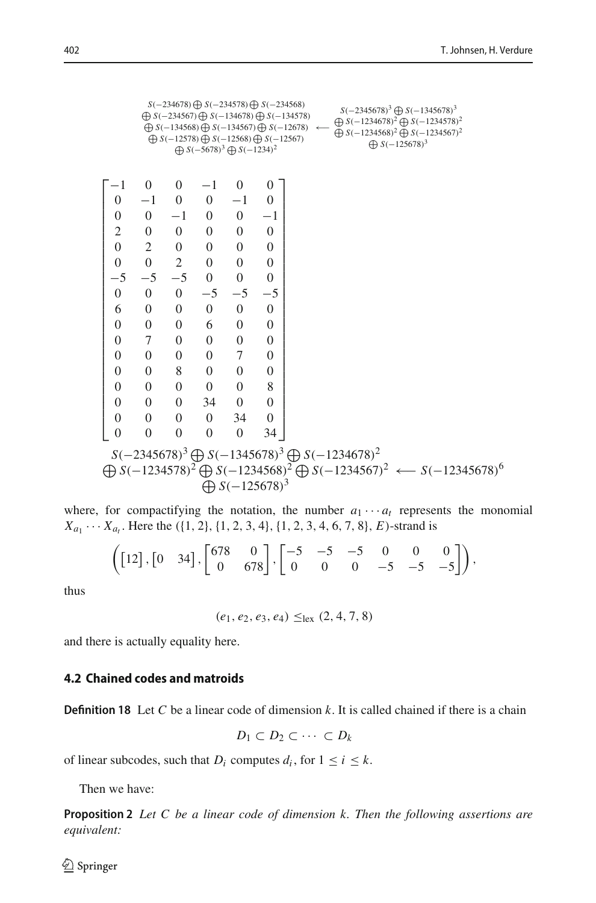$$
s(-234578) \oplus s(-234578) \oplus s(-234578)
$$
\n
$$
\oplus s(-234567) \oplus s(-134578)
$$
\n
$$
\oplus s(-134568) \oplus s(-134578)
$$
\n
$$
\oplus s(-134568) \oplus s(-134578)
$$
\n
$$
\oplus s(-134568) \oplus s(-12567)
$$
\n
$$
\oplus s(-12568) \oplus s(-12567)
$$
\n
$$
\oplus s(-125678)^{3} \oplus s(-12567)
$$
\n
$$
\oplus s(-125678)^{3} \oplus s(-12567)
$$
\n
$$
\oplus s(-125678)^{3}
$$
\n
$$
\oplus s(-125678)^{3}
$$
\n
$$
\oplus s(-125678)^{3}
$$
\n
$$
\oplus s(-125678)^{3}
$$
\n
$$
\oplus s(-125678)^{3}
$$
\n
$$
\oplus s(-125678)^{3}
$$
\n
$$
\oplus s(-125678)^{3}
$$
\n
$$
\oplus s(-125678)^{3}
$$
\n
$$
\oplus s(-125678)^{3}
$$
\n
$$
\oplus s(-125678)^{3}
$$
\n
$$
\oplus s(-125678)^{3}
$$
\n
$$
\oplus s(-125678)^{3}
$$
\n
$$
\oplus s(-12345678)^{2}
$$
\n
$$
\oplus s(-12345678)^{2}
$$
\n
$$
\oplus s(-12345678)^{2}
$$
\n
$$
\oplus s(-12345678)^{2}
$$
\n
$$
\oplus s(-12345678)^{2}
$$
\n
$$
\oplus s(-12345678)^{2}
$$
\n
$$
\oplus s(-12345678)^{2}
$$
\n
$$
\oplus s(-12345678)^{2}
$$
\n
$$
\oplus s(-12345678)^{2}
$$

where, for compactifying the notation, the number  $a_1 \cdots a_t$  represents the monomial  $X_{a_1} \cdots X_{a_t}$ . Here the ({1, 2}, {1, 2, 3, 4}, {1, 2, 3, 4, 6, 7, 8}, *E*)-strand is

$$
\left(\begin{bmatrix} 12 \end{bmatrix}, \begin{bmatrix} 0 & 34 \end{bmatrix}, \begin{bmatrix} 678 & 0 \\ 0 & 678 \end{bmatrix}, \begin{bmatrix} -5 & -5 & -5 & 0 & 0 & 0 \\ 0 & 0 & 0 & -5 & -5 & -5 \end{bmatrix}\right),
$$

thus

 $(e_1, e_2, e_3, e_4) \leq_{\text{lex}} (2, 4, 7, 8)$ 

and there is actually equality here.

### **4.2 Chained codes and matroids**

**Definition 18** Let *C* be a linear code of dimension *k*. It is called chained if there is a chain

$$
D_1\subset D_2\subset\cdots\subset D_k
$$

of linear subcodes, such that  $D_i$  computes  $d_i$ , for  $1 \le i \le k$ .

Then we have:

**Proposition 2** *Let C be a linear code of dimension k. Then the following assertions are equivalent:*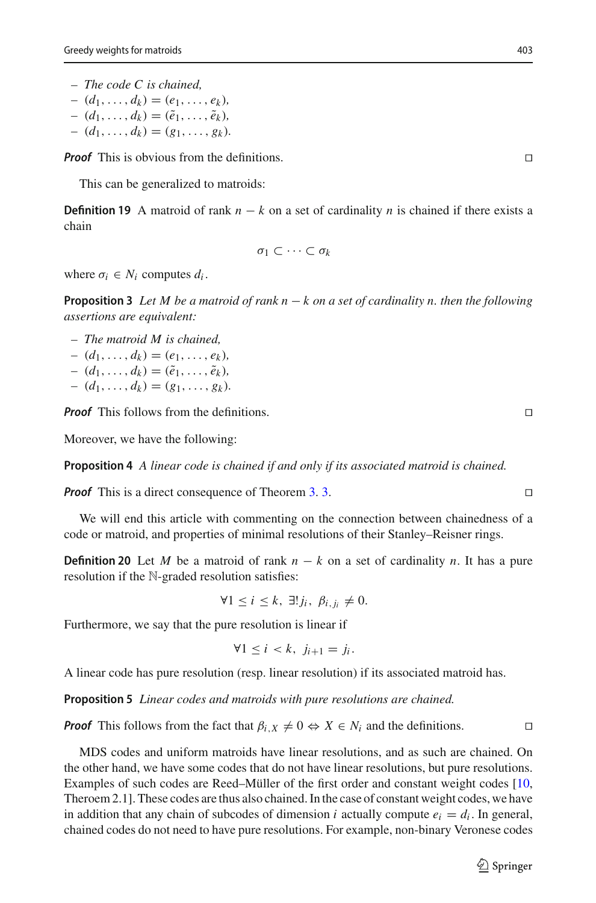- *The code C is chained,*
- $(d_1, \ldots, d_k) = (e_1, \ldots, e_k)$
- $(d_1, \ldots, d_k) = (\tilde{e}_1, \ldots, \tilde{e}_k)$
- $(d_1, \ldots, d_k) = (g_1, \ldots, g_k)$ .

*Proof* This is obvious from the definitions.

This can be generalized to matroids:

**Definition 19** A matroid of rank  $n - k$  on a set of cardinality *n* is chained if there exists a chain

$$
\sigma_1\subset\cdots\subset\sigma_k
$$

where  $\sigma_i \in N_i$  computes  $d_i$ .

**Proposition 3** *Let M be a matroid of rank n* − *k on a set of cardinality n. then the following assertions are equivalent:*

- *The matroid M is chained,*
- $(d_1, \ldots, d_k) = (e_1, \ldots, e_k)$
- $(d_1, ..., d_k) = (\tilde{e}_1, ..., \tilde{e}_k)$
- $(d_1, \ldots, d_k) = (g_1, \ldots, g_k).$

*Proof* This follows from the definitions.

Moreover, we have the following:

**Proposition 4** *A linear code is chained if and only if its associated matroid is chained.*

*Proof* This is a direct consequence of Theorem [3.](#page-10-1) 3.

We will end this article with commenting on the connection between chainedness of a code or matroid, and properties of minimal resolutions of their Stanley–Reisner rings.

**Definition 20** Let *M* be a matroid of rank  $n - k$  on a set of cardinality *n*. It has a pure resolution if the N-graded resolution satisfies:

$$
\forall 1 \leq i \leq k, \ \exists! j_i, \ \beta_{i,j_i} \neq 0.
$$

Furthermore, we say that the pure resolution is linear if

$$
\forall 1 \leq i < k, \ j_{i+1} = j_i.
$$

A linear code has pure resolution (resp. linear resolution) if its associated matroid has.

**Proposition 5** *Linear codes and matroids with pure resolutions are chained.*

*Proof* This follows from the fact that  $\beta_i$ ,  $\chi \neq 0 \Leftrightarrow X \in N_i$  and the definitions.

MDS codes and uniform matroids have linear resolutions, and as such are chained. On the other hand, we have some codes that do not have linear resolutions, but pure resolutions. Examples of such codes are Reed–Müller of the first order and constant weight codes [\[10,](#page-17-14) Theroem 2.1]. These codes are thus also chained. In the case of constant weight codes, we have in addition that any chain of subcodes of dimension *i* actually compute  $e_i = d_i$ . In general, chained codes do not need to have pure resolutions. For example, non-binary Veronese codes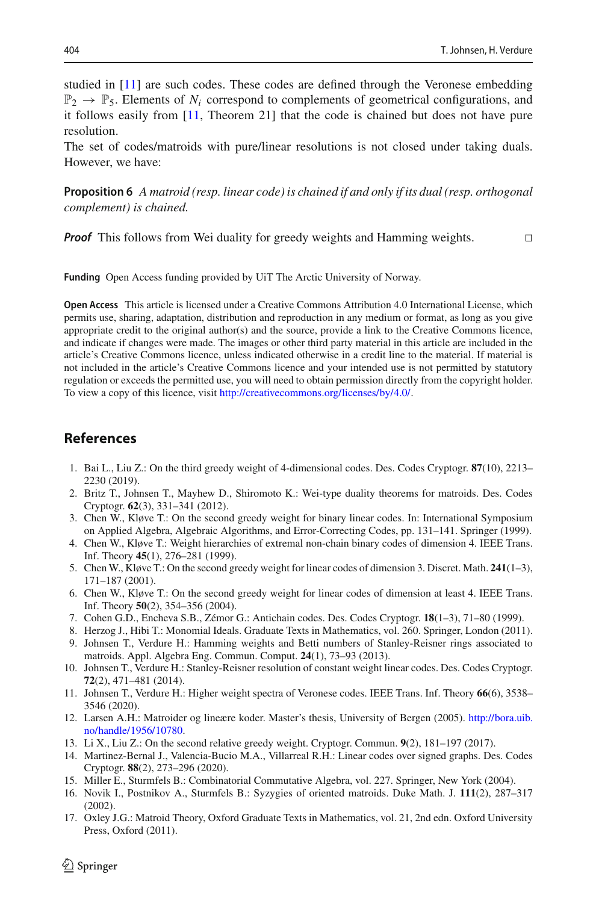studied in [\[11\]](#page-17-15) are such codes. These codes are defined through the Veronese embedding  $\mathbb{P}_2 \to \mathbb{P}_5$ . Elements of *N<sub>i</sub>* correspond to complements of geometrical configurations, and it follows easily from [\[11](#page-17-15), Theorem 21] that the code is chained but does not have pure resolution.

The set of codes/matroids with pure/linear resolutions is not closed under taking duals. However, we have:

**Proposition 6** *A matroid (resp. linear code) is chained if and only if its dual (resp. orthogonal complement) is chained.*

*Proof* This follows from Wei duality for greedy weights and Hamming weights.

**Funding** Open Access funding provided by UiT The Arctic University of Norway.

**Open Access** This article is licensed under a Creative Commons Attribution 4.0 International License, which permits use, sharing, adaptation, distribution and reproduction in any medium or format, as long as you give appropriate credit to the original author(s) and the source, provide a link to the Creative Commons licence, and indicate if changes were made. The images or other third party material in this article are included in the article's Creative Commons licence, unless indicated otherwise in a credit line to the material. If material is not included in the article's Creative Commons licence and your intended use is not permitted by statutory regulation or exceeds the permitted use, you will need to obtain permission directly from the copyright holder. To view a copy of this licence, visit [http://creativecommons.org/licenses/by/4.0/.](http://creativecommons.org/licenses/by/4.0/)

## **References**

- <span id="page-17-2"></span>1. Bai L., Liu Z.: On the third greedy weight of 4-dimensional codes. Des. Codes Cryptogr. **87**(10), 2213– 2230 (2019).
- <span id="page-17-5"></span>2. Britz T., Johnsen T., Mayhew D., Shiromoto K.: Wei-type duality theorems for matroids. Des. Codes Cryptogr. **62**(3), 331–341 (2012).
- <span id="page-17-7"></span>3. Chen W., Kløve T.: On the second greedy weight for binary linear codes. In: International Symposium on Applied Algebra, Algebraic Algorithms, and Error-Correcting Codes, pp. 131–141. Springer (1999).
- <span id="page-17-0"></span>4. Chen W., Kløve T.: Weight hierarchies of extremal non-chain binary codes of dimension 4. IEEE Trans. Inf. Theory **45**(1), 276–281 (1999).
- 5. Chen W., Kløve T.: On the second greedy weight for linear codes of dimension 3. Discret. Math. **241**(1–3), 171–187 (2001).
- <span id="page-17-8"></span>6. Chen W., Kløve T.: On the second greedy weight for linear codes of dimension at least 4. IEEE Trans. Inf. Theory **50**(2), 354–356 (2004).
- <span id="page-17-1"></span>7. Cohen G.D., Encheva S.B., Zémor G.: Antichain codes. Des. Codes Cryptogr. **18**(1–3), 71–80 (1999).
- <span id="page-17-10"></span>8. Herzog J., Hibi T.: Monomial Ideals. Graduate Texts in Mathematics, vol. 260. Springer, London (2011).
- <span id="page-17-4"></span>9. Johnsen T., Verdure H.: Hamming weights and Betti numbers of Stanley-Reisner rings associated to matroids. Appl. Algebra Eng. Commun. Comput. **24**(1), 73–93 (2013).
- <span id="page-17-14"></span>10. Johnsen T., Verdure H.: Stanley-Reisner resolution of constant weight linear codes. Des. Codes Cryptogr. **72**(2), 471–481 (2014).
- <span id="page-17-15"></span>11. Johnsen T., Verdure H.: Higher weight spectra of Veronese codes. IEEE Trans. Inf. Theory **66**(6), 3538– 3546 (2020).
- <span id="page-17-6"></span>12. Larsen A.H.: Matroider og lineære koder. Master's thesis, University of Bergen (2005). [http://bora.uib.](http://bora.uib.no/handle/1956/10780) [no/handle/1956/10780.](http://bora.uib.no/handle/1956/10780)
- <span id="page-17-3"></span>13. Li X., Liu Z.: On the second relative greedy weight. Cryptogr. Commun. **9**(2), 181–197 (2017).
- <span id="page-17-12"></span>14. Martinez-Bernal J., Valencia-Bucio M.A., Villarreal R.H.: Linear codes over signed graphs. Des. Codes Cryptogr. **88**(2), 273–296 (2020).
- <span id="page-17-11"></span>15. Miller E., Sturmfels B.: Combinatorial Commutative Algebra, vol. 227. Springer, New York (2004).
- <span id="page-17-13"></span>16. Novik I., Postnikov A., Sturmfels B.: Syzygies of oriented matroids. Duke Math. J. **111**(2), 287–317 (2002).
- <span id="page-17-9"></span>17. Oxley J.G.: Matroid Theory, Oxford Graduate Texts in Mathematics, vol. 21, 2nd edn. Oxford University Press, Oxford (2011).